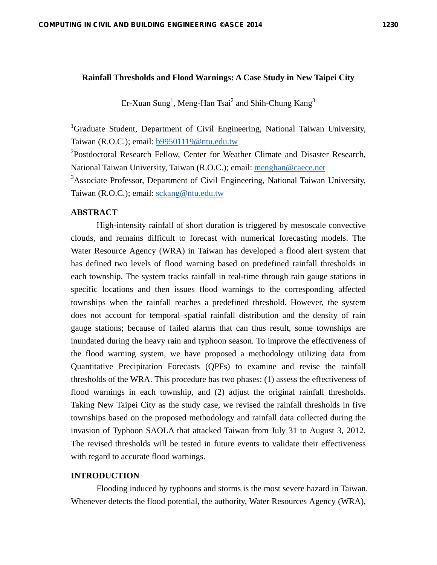#### **Rainfall Thresholds and Flood Warnings: A Case Study in New Taipei City**

Er-Xuan Sung<sup>1</sup>, Meng-Han Tsai<sup>2</sup> and Shih-Chung Kang<sup>3</sup>

<sup>1</sup>Graduate Student, Department of Civil Engineering, National Taiwan University, Taiwan (R.O.C.); email: b99501119@ntu.edu.tw

<sup>2</sup>Postdoctoral Research Fellow, Center for Weather Climate and Disaster Research, National Taiwan University, Taiwan (R.O.C.); email: menghan@caece.net

<sup>3</sup> Associate Professor, Department of Civil Engineering, National Taiwan University, Taiwan (R.O.C.); email: sckang@ntu.edu.tw

## **ABSTRACT**

High-intensity rainfall of short duration is triggered by mesoscale convective clouds, and remains difficult to forecast with numerical forecasting models. The Water Resource Agency (WRA) in Taiwan has developed a flood alert system that has defined two levels of flood warning based on predefined rainfall thresholds in each township. The system tracks rainfall in real-time through rain gauge stations in specific locations and then issues flood warnings to the corresponding affected townships when the rainfall reaches a predefined threshold. However, the system does not account for temporal–spatial rainfall distribution and the density of rain gauge stations; because of failed alarms that can thus result, some townships are inundated during the heavy rain and typhoon season. To improve the effectiveness of the flood warning system, we have proposed a methodology utilizing data from Quantitative Precipitation Forecasts (QPFs) to examine and revise the rainfall thresholds of the WRA. This procedure has two phases: (1) assess the effectiveness of flood warnings in each township, and (2) adjust the original rainfall thresholds. Taking New Taipei City as the study case, we revised the rainfall thresholds in five townships based on the proposed methodology and rainfall data collected during the invasion of Typhoon SAOLA that attacked Taiwan from July 31 to August 3, 2012. The revised thresholds will be tested in future events to validate their effectiveness with regard to accurate flood warnings.

## **INTRODUCTION**

Flooding induced by typhoons and storms is the most severe hazard in Taiwan. Whenever detects the flood potential, the authority, Water Resources Agency (WRA),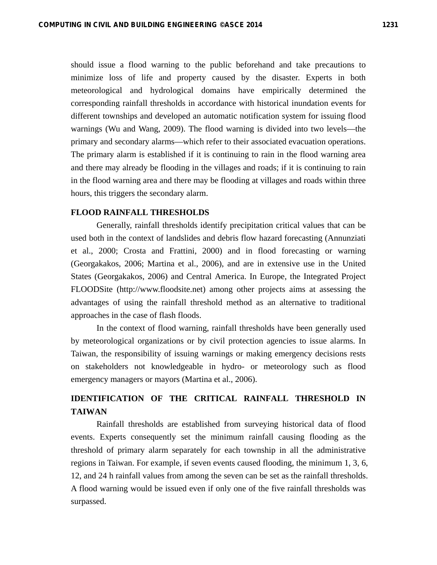should issue a flood warning to the public beforehand and take precautions to minimize loss of life and property caused by the disaster. Experts in both meteorological and hydrological domains have empirically determined the corresponding rainfall thresholds in accordance with historical inundation events for different townships and developed an automatic notification system for issuing flood warnings (Wu and Wang, 2009). The flood warning is divided into two levels—the primary and secondary alarms—which refer to their associated evacuation operations. The primary alarm is established if it is continuing to rain in the flood warning area and there may already be flooding in the villages and roads; if it is continuing to rain in the flood warning area and there may be flooding at villages and roads within three hours, this triggers the secondary alarm.

## **FLOOD RAINFALL THRESHOLDS**

Generally, rainfall thresholds identify precipitation critical values that can be used both in the context of landslides and debris flow hazard forecasting (Annunziati et al., 2000; Crosta and Frattini, 2000) and in flood forecasting or warning (Georgakakos, 2006; Martina et al., 2006), and are in extensive use in the United States (Georgakakos, 2006) and Central America. In Europe, the Integrated Project FLOODSite (http://www.floodsite.net) among other projects aims at assessing the advantages of using the rainfall threshold method as an alternative to traditional approaches in the case of flash floods.

In the context of flood warning, rainfall thresholds have been generally used by meteorological organizations or by civil protection agencies to issue alarms. In Taiwan, the responsibility of issuing warnings or making emergency decisions rests on stakeholders not knowledgeable in hydro- or meteorology such as flood emergency managers or mayors (Martina et al., 2006).

# **IDENTIFICATION OF THE CRITICAL RAINFALL THRESHOLD IN TAIWAN**

Rainfall thresholds are established from surveying historical data of flood events. Experts consequently set the minimum rainfall causing flooding as the threshold of primary alarm separately for each township in all the administrative regions in Taiwan. For example, if seven events caused flooding, the minimum 1, 3, 6, 12, and 24 h rainfall values from among the seven can be set as the rainfall thresholds. A flood warning would be issued even if only one of the five rainfall thresholds was surpassed.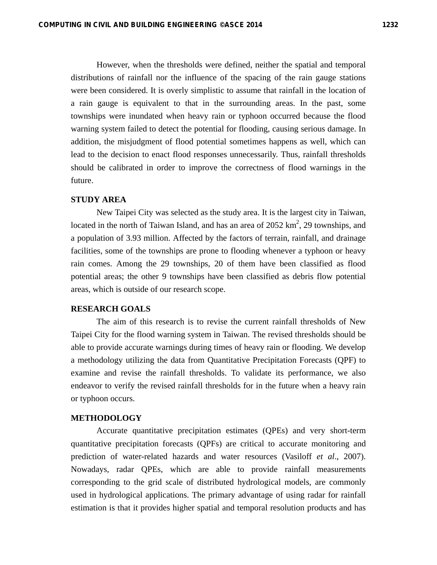However, when the thresholds were defined, neither the spatial and temporal distributions of rainfall nor the influence of the spacing of the rain gauge stations were been considered. It is overly simplistic to assume that rainfall in the location of a rain gauge is equivalent to that in the surrounding areas. In the past, some townships were inundated when heavy rain or typhoon occurred because the flood warning system failed to detect the potential for flooding, causing serious damage. In addition, the misjudgment of flood potential sometimes happens as well, which can lead to the decision to enact flood responses unnecessarily. Thus, rainfall thresholds should be calibrated in order to improve the correctness of flood warnings in the future.

# **STUDY AREA**

New Taipei City was selected as the study area. It is the largest city in Taiwan, located in the north of Taiwan Island, and has an area of  $2052 \text{ km}^2$ , 29 townships, and a population of 3.93 million. Affected by the factors of terrain, rainfall, and drainage facilities, some of the townships are prone to flooding whenever a typhoon or heavy rain comes. Among the 29 townships, 20 of them have been classified as flood potential areas; the other 9 townships have been classified as debris flow potential areas, which is outside of our research scope.

## **RESEARCH GOALS**

The aim of this research is to revise the current rainfall thresholds of New Taipei City for the flood warning system in Taiwan. The revised thresholds should be able to provide accurate warnings during times of heavy rain or flooding. We develop a methodology utilizing the data from Quantitative Precipitation Forecasts (QPF) to examine and revise the rainfall thresholds. To validate its performance, we also endeavor to verify the revised rainfall thresholds for in the future when a heavy rain or typhoon occurs.

#### **METHODOLOGY**

Accurate quantitative precipitation estimates (QPEs) and very short-term quantitative precipitation forecasts (QPFs) are critical to accurate monitoring and prediction of water-related hazards and water resources (Vasiloff *et al*., 2007). Nowadays, radar QPEs, which are able to provide rainfall measurements corresponding to the grid scale of distributed hydrological models, are commonly used in hydrological applications. The primary advantage of using radar for rainfall estimation is that it provides higher spatial and temporal resolution products and has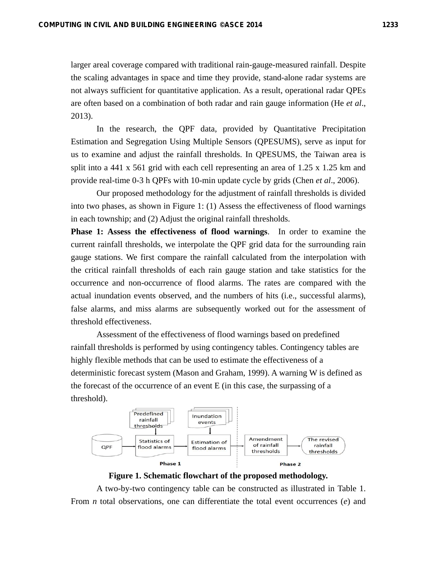larger areal coverage compared with traditional rain-gauge-measured rainfall. Despite the scaling advantages in space and time they provide, stand-alone radar systems are not always sufficient for quantitative application. As a result, operational radar QPEs are often based on a combination of both radar and rain gauge information (He *et al*., 2013).

In the research, the QPF data, provided by Quantitative Precipitation Estimation and Segregation Using Multiple Sensors (QPESUMS), serve as input for us to examine and adjust the rainfall thresholds. In QPESUMS, the Taiwan area is split into a 441 x 561 grid with each cell representing an area of 1.25 x 1.25 km and provide real-time 0-3 h QPFs with 10-min update cycle by grids (Chen *et al*., 2006).

Our proposed methodology for the adjustment of rainfall thresholds is divided into two phases, as shown in Figure 1: (1) Assess the effectiveness of flood warnings in each township; and (2) Adjust the original rainfall thresholds.

**Phase 1: Assess the effectiveness of flood warnings**. In order to examine the current rainfall thresholds, we interpolate the QPF grid data for the surrounding rain gauge stations. We first compare the rainfall calculated from the interpolation with the critical rainfall thresholds of each rain gauge station and take statistics for the occurrence and non-occurrence of flood alarms. The rates are compared with the actual inundation events observed, and the numbers of hits (i.e., successful alarms), false alarms, and miss alarms are subsequently worked out for the assessment of threshold effectiveness.

Assessment of the effectiveness of flood warnings based on predefined rainfall thresholds is performed by using contingency tables. Contingency tables are highly flexible methods that can be used to estimate the effectiveness of a deterministic forecast system (Mason and Graham, 1999). A warning W is defined as the forecast of the occurrence of an event E (in this case, the surpassing of a threshold).



**Figure 1. Schematic flowchart of the proposed methodology.** 

A two-by-two contingency table can be constructed as illustrated in Table 1. From *n* total observations, one can differentiate the total event occurrences (*e*) and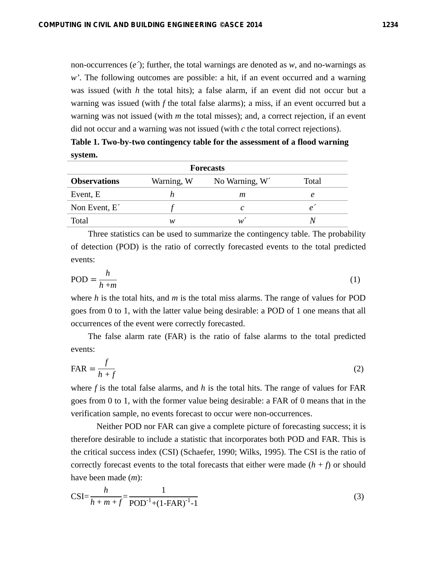non-occurrences (*e´*); further, the total warnings are denoted as *w*, and no-warnings as *w'*. The following outcomes are possible: a hit, if an event occurred and a warning was issued (with *h* the total hits); a false alarm, if an event did not occur but a warning was issued (with *f* the total false alarms); a miss, if an event occurred but a warning was not issued (with *m* the total misses); and, a correct rejection, if an event did not occur and a warning was not issued (with *c* the total correct rejections).

**Table 1. Two-by-two contingency table for the assessment of a flood warning system.** 

|                         |            | <b>Forecasts</b> |       |
|-------------------------|------------|------------------|-------|
| <b>Observations</b>     | Warning, W | No Warning, W    | Total |
| Event, E                |            | т                |       |
| Non Event, $E^{\prime}$ |            | C                |       |
| Total                   | w          | w                |       |

Three statistics can be used to summarize the contingency table. The probability of detection (POD) is the ratio of correctly forecasted events to the total predicted events:

$$
POD = \frac{h}{h+m} \tag{1}
$$

where *h* is the total hits, and *m* is the total miss alarms. The range of values for POD goes from 0 to 1, with the latter value being desirable: a POD of 1 one means that all occurrences of the event were correctly forecasted.

The false alarm rate (FAR) is the ratio of false alarms to the total predicted events:

$$
FAR = \frac{f}{h+f}
$$
 (2)

where  $f$  is the total false alarms, and  $h$  is the total hits. The range of values for FAR goes from 0 to 1, with the former value being desirable: a FAR of 0 means that in the verification sample, no events forecast to occur were non-occurrences.

Neither POD nor FAR can give a complete picture of forecasting success; it is therefore desirable to include a statistic that incorporates both POD and FAR. This is the critical success index (CSI) (Schaefer, 1990; Wilks, 1995). The CSI is the ratio of correctly forecast events to the total forecasts that either were made  $(h + f)$  or should have been made (*m*):

$$
CSI = \frac{h}{h + m + f} = \frac{1}{POD^{-1} + (1 - FAR)^{-1} - 1}
$$
\n(3)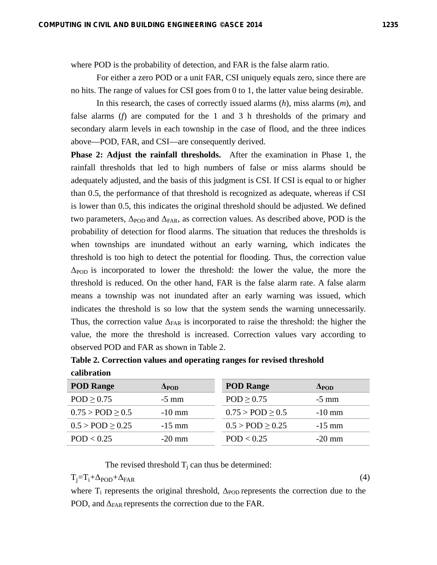where POD is the probability of detection, and FAR is the false alarm ratio.

For either a zero POD or a unit FAR, CSI uniquely equals zero, since there are no hits. The range of values for CSI goes from 0 to 1, the latter value being desirable.

In this research, the cases of correctly issued alarms (*h*), miss alarms (*m*), and false alarms (*f*) are computed for the 1 and 3 h thresholds of the primary and secondary alarm levels in each township in the case of flood, and the three indices above—POD, FAR, and CSI—are consequently derived.

**Phase 2: Adjust the rainfall thresholds.** After the examination in Phase 1, the rainfall thresholds that led to high numbers of false or miss alarms should be adequately adjusted, and the basis of this judgment is CSI. If CSI is equal to or higher than 0.5, the performance of that threshold is recognized as adequate, whereas if CSI is lower than 0.5, this indicates the original threshold should be adjusted. We defined two parameters,  $\Delta_{POD}$  and  $\Delta_{FAR}$ , as correction values. As described above, POD is the probability of detection for flood alarms. The situation that reduces the thresholds is when townships are inundated without an early warning, which indicates the threshold is too high to detect the potential for flooding. Thus, the correction value  $\Delta_{\rm POD}$  is incorporated to lower the threshold: the lower the value, the more the threshold is reduced. On the other hand, FAR is the false alarm rate. A false alarm means a township was not inundated after an early warning was issued, which indicates the threshold is so low that the system sends the warning unnecessarily. Thus, the correction value  $\Delta_{FAR}$  is incorporated to raise the threshold: the higher the value, the more the threshold is increased. Correction values vary according to observed POD and FAR as shown in Table 2.

**Table 2. Correction values and operating ranges for revised threshold calibration** 

| <b>POD Range</b>             | $\Delta$ POD | <b>POD Range</b>             | $\Delta$ POD |
|------------------------------|--------------|------------------------------|--------------|
| POD > 0.75                   | $-5$ mm      | POD > 0.75                   | $-5$ mm      |
| $0.75 > \text{POD} \geq 0.5$ | $-10$ mm     | $0.75 > \text{POD} \geq 0.5$ | $-10$ mm     |
| $0.5 > \text{POD} \geq 0.25$ | $-15$ mm     | $0.5 > \text{POD} \geq 0.25$ | $-15$ mm     |
| POD < 0.25                   | $-20$ mm     | POD < 0.25                   | $-20$ mm     |

The revised threshold  $T_i$  can thus be determined:

 $T_i = T_i + \Delta_{\text{POD}} + \Delta_{\text{FAR}}$  (4)

where  $T_i$  represents the original threshold,  $\Delta_{POD}$  represents the correction due to the POD, and  $\Delta_{FAR}$  represents the correction due to the FAR.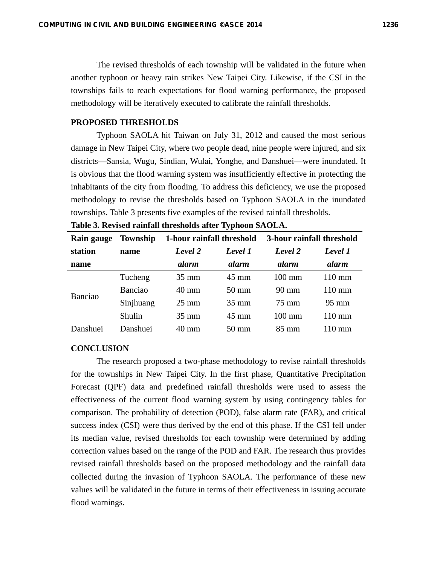The revised thresholds of each township will be validated in the future when another typhoon or heavy rain strikes New Taipei City. Likewise, if the CSI in the townships fails to reach expectations for flood warning performance, the proposed methodology will be iteratively executed to calibrate the rainfall thresholds.

#### **PROPOSED THRESHOLDS**

Typhoon SAOLA hit Taiwan on July 31, 2012 and caused the most serious damage in New Taipei City, where two people dead, nine people were injured, and six districts—Sansia, Wugu, Sindian, Wulai, Yonghe, and Danshuei—were inundated. It is obvious that the flood warning system was insufficiently effective in protecting the inhabitants of the city from flooding. To address this deficiency, we use the proposed methodology to revise the thresholds based on Typhoon SAOLA in the inundated townships. Table 3 presents five examples of the revised rainfall thresholds.

| Rain gauge | Township  | 1-hour rainfall threshold |                 | 3-hour rainfall threshold |                  |
|------------|-----------|---------------------------|-----------------|---------------------------|------------------|
| station    | name      | Level 2                   | Level 1         | Level 2                   | Level 1          |
| name       |           | alarm                     | <i>alarm</i>    | alarm                     | alarm            |
|            | Tucheng   | $35 \text{ mm}$           | $45 \text{ mm}$ | $100 \text{ mm}$          | $110 \text{ mm}$ |
| Banciao    | Banciao   | $40 \text{ mm}$           | $50 \text{ mm}$ | $90 \text{ mm}$           | $110 \text{ mm}$ |
|            | Sinjhuang | $25 \text{ mm}$           | $35 \text{ mm}$ | 75 mm                     | $95 \text{ mm}$  |
|            | Shulin    | $35 \text{ mm}$           | $45 \text{ mm}$ | $100 \text{ mm}$          | $110 \text{ mm}$ |
| Danshuei   | Danshuei  | 40 mm                     | $50 \text{ mm}$ | $85 \text{ mm}$           | $110 \text{ mm}$ |

| Table 3. Revised rainfall thresholds after Typhoon SAOLA. |
|-----------------------------------------------------------|
|-----------------------------------------------------------|

#### **CONCLUSION**

The research proposed a two-phase methodology to revise rainfall thresholds for the townships in New Taipei City. In the first phase, Quantitative Precipitation Forecast (QPF) data and predefined rainfall thresholds were used to assess the effectiveness of the current flood warning system by using contingency tables for comparison. The probability of detection (POD), false alarm rate (FAR), and critical success index (CSI) were thus derived by the end of this phase. If the CSI fell under its median value, revised thresholds for each township were determined by adding correction values based on the range of the POD and FAR. The research thus provides revised rainfall thresholds based on the proposed methodology and the rainfall data collected during the invasion of Typhoon SAOLA. The performance of these new values will be validated in the future in terms of their effectiveness in issuing accurate flood warnings.